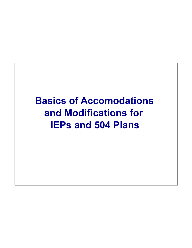## **Basics of Accomodations and Modifications for IEPs and 504 Plans**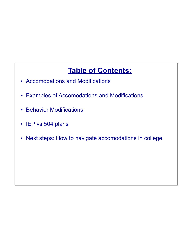### **Table of Contents:**

- Accomodations and Modifications
- Examples of Accomodations and Modifications
- Behavior Modifications
- IEP vs 504 plans
- Next steps: How to navigate accomodations in college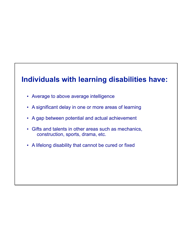#### **Individuals with learning disabilities have:**

- Average to above average intelligence
- A significant delay in one or more areas of learning
- A gap between potential and actual achievement
- Gifts and talents in other areas such as mechanics, construction, sports, drama, etc.
- A lifelong disability that cannot be cured or fixed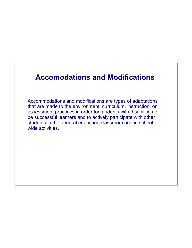#### **Accomodations and Modifications**

Accommodations and modifications are types of adaptations that are made to the environment, curriculum, instruction, or assessment practices in order for students with disabilities to be successful learners and to actively participate with other students in the general education classroom and in schoolwide activities.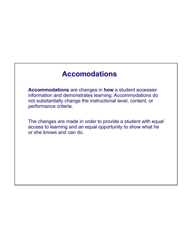#### **Accomodations**

**Accommodations** are changes in **how** a student accesses information and demonstrates learning. Accommodations do not substantially change the instructional level, content, or performance criteria.

The changes are made in order to provide a student with equal access to learning and an equal opportunity to show what he or she knows and can do.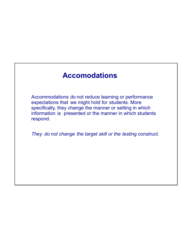#### **Accomodations**

Accommodations do not reduce learning or performance expectations that we might hold for students. More specifically, they change the manner or setting in which information is presented or the manner in which students respond.

*They do not change the target skill or the testing construct.*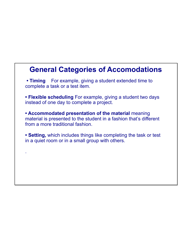#### **General Categories of Accomodations**

**• Timing** For example, giving a student extended time to complete a task or a test item.

**• Flexible scheduling** For example, giving a student two days instead of one day to complete a project.

**• Accommodated presentation of the material** meaning material is presented to the student in a fashion that's different from a more traditional fashion.

**• Setting,** which includes things like completing the task or test in a quiet room or in a small group with others.

.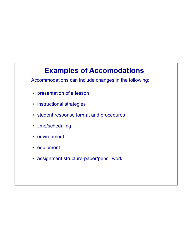#### **Examples of Accomodations**

Accommodations can include changes in the following:

- presentation of a lesson
- instructional strategies
- student response format and procedures
- time/scheduling
- environment
- equipment
- assignment structure-paper/pencil work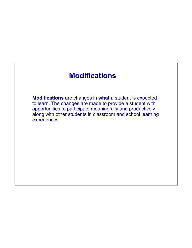#### **Modifications**

**Modifications** are changes in **what** a student is expected to learn. The changes are made to provide a student with opportunities to participate meaningfully and productively along with other students in classroom and school learning experiences.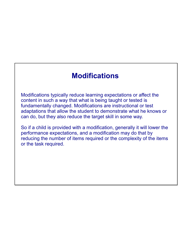#### **Modifications**

Modifications typically reduce learning expectations or affect the content in such a way that what is being taught or tested is fundamentally changed. Modifications are instructional or test adaptations that allow the student to demonstrate what he knows or can do, but they also reduce the target skill in some way.

So if a child is provided with a modification, generally it will lower the performance expectations, and a modification may do that by reducing the number of items required or the complexity of the items or the task required.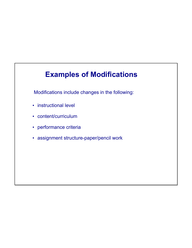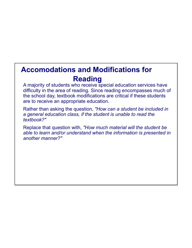#### **Accomodations and Modifications for Reading**

A majority of students who receive special education services have difficulty in the area of reading. Since reading encompasses much of the school day, textbook modifications are critical if these students are to receive an appropriate education.

Rather than asking the question, *"How can a student be included in a general education class, if the student is unable to read the textbook?"*

Replace that question with, *"How much material will the student be able to learn and/or understand when the information is presented in another manner?"*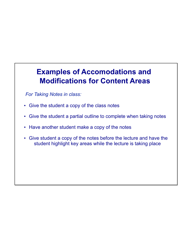*For Taking Notes in class:*

- Give the student a copy of the class notes
- Give the student a partial outline to complete when taking notes
- Have another student make a copy of the notes
- Give student a copy of the notes before the lecture and have the student highlight key areas while the lecture is taking place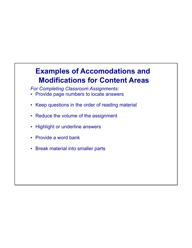*For Completing Classroom Assignments:*

- Provide page numbers to locate answers
- Keep questions in the order of reading material
- Reduce the volume of the assignment
- Highlight or underline answers
- Provide a word bank
- Break material into smaller parts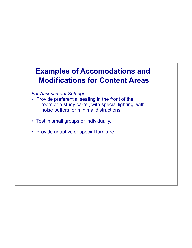*For Assessment Settings:*

- Provide preferential seating in the front of the room or a study carrel, with special lighting, with noise buffers, or minimal distractions.
- Test in small groups or individually.
- Provide adaptive or special furniture.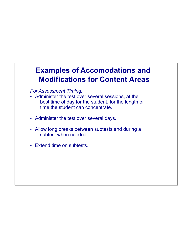*For Assessment Timing:*

- Administer the test over several sessions, at the best time of day for the student, for the length of time the student can concentrate.
- Administer the test over several days.
- Allow long breaks between subtests and during a subtest when needed.
- Extend time on subtests.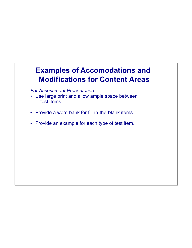*For Assessment Presentation:*

- Use large print and allow ample space between test items.
- Provide a word bank for fill-in-the-blank items.
- Provide an example for each type of test item.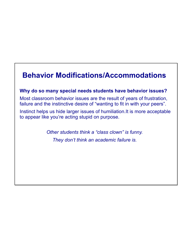#### **Behavior Modifications/Accommodations**

#### **Why do so many special needs students have behavior issues?**

Most classroom behavior issues are the result of years of frustration, failure and the instinctive desire of "wanting to fit in with your peers".

Instinct helps us hide larger issues of humiliation.It is more acceptable to appear like you're acting stupid on purpose.

> *Other students think a "class clown" is funny. They don't think an academic failure is.*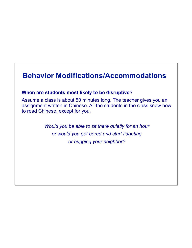#### **Behavior Modifications/Accommodations**

#### **When are students most likely to be disruptive?**

Assume a class is about 50 minutes long. The teacher gives you an assignment written in Chinese. All the students in the class know how to read Chinese, except for you.

> *Would you be able to sit there quietly for an hour or would you get bored and start fidgeting or bugging your neighbor?*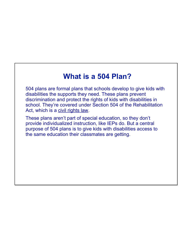#### **What is a 504 Plan?**

504 plans are formal plans that schools develop to give kids with disabilities the supports they need. These plans prevent discrimination and protect the rights of kids with disabilities in school. They're covered under Section 504 of the Rehabilitation Act, which is a civil rights law.

These plans aren't part of special education, so they don't provide individualized instruction, like IEPs do. But a central purpose of 504 plans is to give kids with disabilities access to the same education their classmates are getting.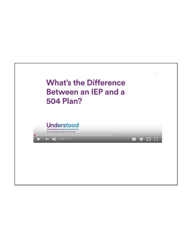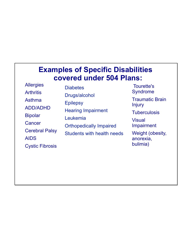#### **Examples of Specific Disabilities covered under 504 Plans:**

**Allergies Arthritis** Asthma ADD/ADHD Bipolar **Cancer** Cerebral Palsy AIDS Cystic Fibrosis

**Diabetes** Drugs/alcohol **Epilepsy** Hearing Impairment Leukemia Orthopedically Impaired Students with health needs

Tourette's Syndrome Traumatic Brain Injury **Tuberculosis Visual** Impairment

Weight (obesity, anorexia, bulimia)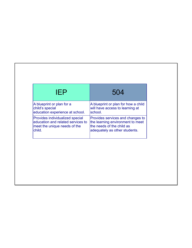| IFP                               | 504                                 |
|-----------------------------------|-------------------------------------|
| A blueprint or plan for a         | A blueprint or plan for how a child |
| child's special                   | will have access to learning at     |
| education experience at school.   | school.                             |
| Provides individualized special   | Provides services and changes to    |
| education and related services to | the learning environment to meet    |
| meet the unique needs of the      | the needs of the child as           |
| child.                            | adequately as other students.       |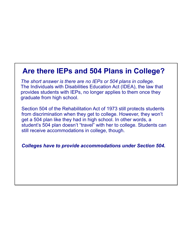#### **Are there IEPs and 504 Plans in College?**

*The short answer is there are no IEPs or 504 plans in college.* The Individuals with Disabilities Education Act (IDEA), the law that provides students with IEPs, no longer applies to them once they graduate from high school.

Section 504 of the Rehabilitation Act of 1973 still protects students from discrimination when they get to college. However, they won't get a 504 plan like they had in high school. In other words, a student's 504 plan doesn't "travel" with her to college. Students can still receive accommodations in college, though.

*Colleges have to provide accommodations under Section 504.*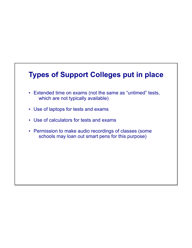# **Types of Support Colleges put in place** • Extended time on exams (not the same as "untimed" tests, which are not typically available) • Use of laptops for tests and exams • Use of calculators for tests and exams • Permission to make audio recordings of classes (some schools may loan out smart pens for this purpose)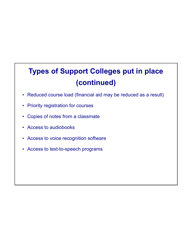## **Types of Support Colleges put in place (continued)**

- Reduced course load (financial aid may be reduced as a result)
- Priority registration for courses
- Copies of notes from a classmate
- Access to audiobooks
- Access to voice recognition software
- Access to text-to-speech programs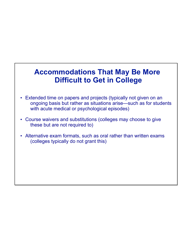#### **Accommodations That May Be More Difficult to Get in College**

- Extended time on papers and projects (typically not given on an ongoing basis but rather as situations arise—such as for students with acute medical or psychological episodes)
- Course waivers and substitutions (colleges may choose to give these but are not required to)
- Alternative exam formats, such as oral rather than written exams (colleges typically do not grant this)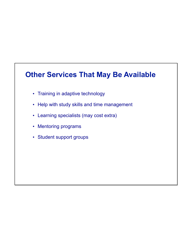### **Other Services That May Be Available**

- Training in adaptive technology
- Help with study skills and time management
- Learning specialists (may cost extra)
- Mentoring programs
- Student support groups